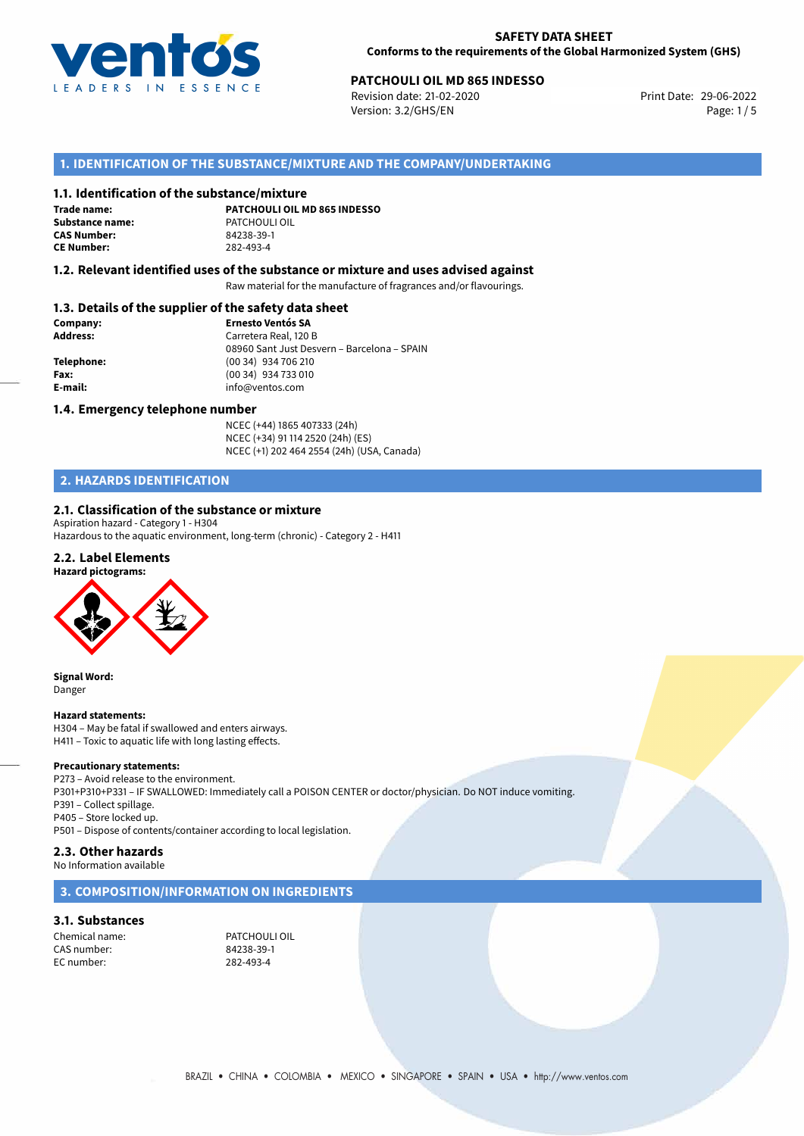

#### **SAFETY DATA SHEET Conforms to the requirements of the Global Harmonized System (GHS)**

# **PATCHOULI OIL MD 865 INDESSO**<br>
Revision date: 21-02-2020<br>
Print Date: 29-06-2022

Revision date: 21-02-2020 Version: 3.2/GHS/EN Page: 1/5

### **1. IDENTIFICATION OF THE SUBSTANCE/MIXTURE AND THE COMPANY/UNDERTAKING**

#### **1.1. Identification of the substance/mixture**

**Trade name: Substance name:** PATCHOULI OIL **CAS Number: CE Number:** 282-493-4

**PATCHOULI OIL MD 865 INDESSO**

#### **1.2. Relevant identified uses of the substance or mixture and uses advised against**

Raw material for the manufacture of fragrances and/or flavourings.

#### **1.3. Details of the supplier of the safety data sheet**

| Company:        | <b>Ernesto Ventós SA</b>                    |  |  |
|-----------------|---------------------------------------------|--|--|
| <b>Address:</b> | Carretera Real, 120 B                       |  |  |
|                 | 08960 Sant Just Desvern - Barcelona - SPAIN |  |  |
| Telephone:      | (00 34) 934 706 210                         |  |  |
| Fax:            | (00 34) 934 733 010                         |  |  |
| E-mail:         | info@ventos.com                             |  |  |
|                 |                                             |  |  |

#### **1.4. Emergency telephone number**

NCEC (+44) 1865 407333 (24h) NCEC (+34) 91 114 2520 (24h) (ES) NCEC (+1) 202 464 2554 (24h) (USA, Canada)

# **2. HAZARDS IDENTIFICATION**

#### **2.1. Classification of the substance or mixture**

Aspiration hazard - Category 1 - H304 Hazardous to the aquatic environment, long-term (chronic) - Category 2 - H411

#### **2.2. Label Elements**



**Signal Word:** Danger

#### **Hazard statements:**

H304 – May be fatal if swallowed and enters airways. H411 – Toxic to aquatic life with long lasting effects.

#### **Precautionary statements:**

P273 – Avoid release to the environment. P301+P310+P331 – IF SWALLOWED: Immediately call a POISON CENTER or doctor/physician. Do NOT induce vomiting. P391 – Collect spillage. P405 – Store locked up. P501 – Dispose of contents/container according to local legislation.

#### **2.3. Other hazards**

No Information available

#### **3. COMPOSITION/INFORMATION ON INGREDIENTS**

#### **3.1. Substances**

Chemical name: PATCHOULI OIL CAS number: EC number: 282-493-4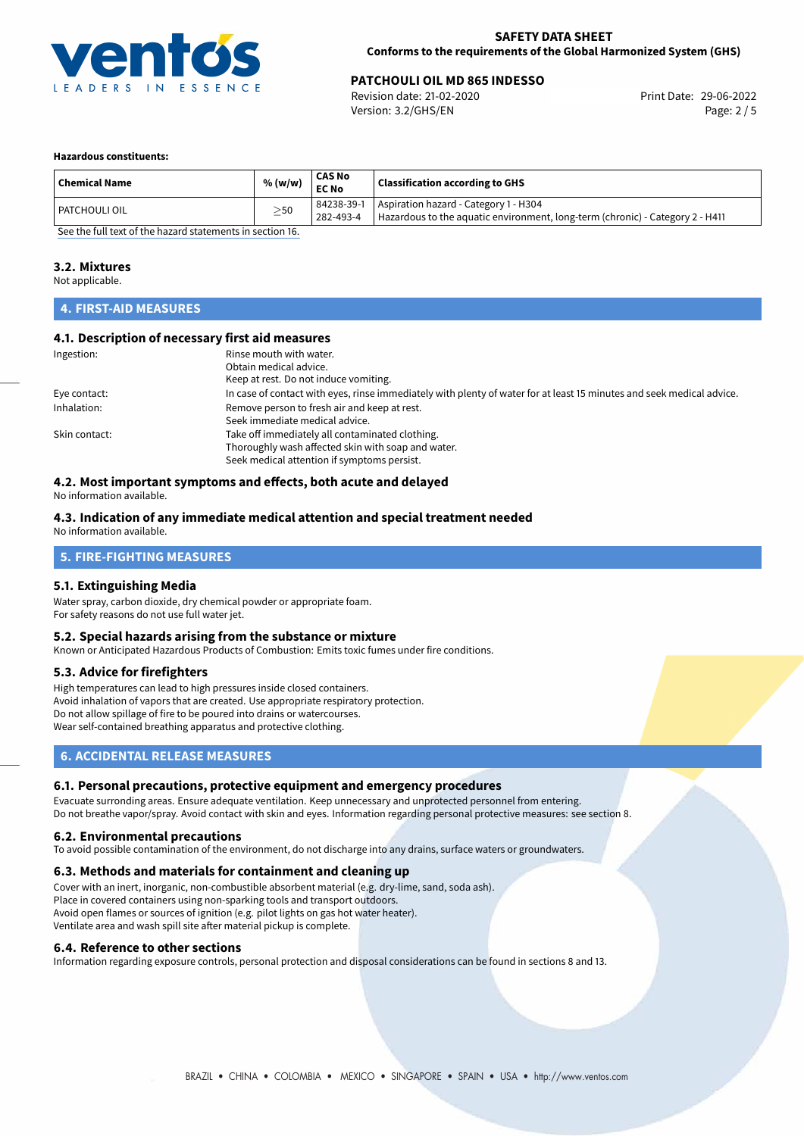

# **PATCHOULI OIL MD 865 INDESSO**<br>
Revision date: 21-02-2020<br>
Print Date: 29-06-2022

Revision date: 21-02-2020 Version: 3.2/GHS/EN Page: 2 / 5

#### **Hazardous constituents:**

| Aspiration hazard - Category 1 - H304<br>84238-39-1<br>$\geq$ 50<br>I PATCHOULI OIL | <b>Chemical Name</b> | % (w/w) | CAS No<br><b>EC No</b> | <b>Classification according to GHS</b>                                        |  |
|-------------------------------------------------------------------------------------|----------------------|---------|------------------------|-------------------------------------------------------------------------------|--|
|                                                                                     |                      |         | 282-493-4              | Hazardous to the aquatic environment, long-term (chronic) - Category 2 - H411 |  |

[See the full text of the hazard statements in section 16.](#page-4-0)

#### **3.2. Mixtures**

Not applicable.

# **4. FIRST-AID MEASURES**

#### **4.1. Description of necessary first aid measures**

| Ingestion:    | Rinse mouth with water.<br>Obtain medical advice.<br>Keep at rest. Do not induce vomiting.                                                           |
|---------------|------------------------------------------------------------------------------------------------------------------------------------------------------|
| Eye contact:  | In case of contact with eyes, rinse immediately with plenty of water for at least 15 minutes and seek medical advice.                                |
| Inhalation:   | Remove person to fresh air and keep at rest.<br>Seek immediate medical advice.                                                                       |
| Skin contact: | Take off immediately all contaminated clothing.<br>Thoroughly wash affected skin with soap and water.<br>Seek medical attention if symptoms persist. |

# **4.2. Most important symptoms and effects, both acute and delayed**

No information available.

#### **4.3. Indication of any immediate medical attention and special treatment needed** No information available.

# **5. FIRE-FIGHTING MEASURES**

#### **5.1. Extinguishing Media**

Water spray, carbon dioxide, dry chemical powder or appropriate foam. For safety reasons do not use full water jet.

#### **5.2. Special hazards arising from the substance or mixture**

Known or Anticipated Hazardous Products of Combustion: Emits toxic fumes under fire conditions.

#### **5.3. Advice for firefighters**

High temperatures can lead to high pressures inside closed containers. Avoid inhalation of vapors that are created. Use appropriate respiratory protection. Do not allow spillage of fire to be poured into drains or watercourses. Wear self-contained breathing apparatus and protective clothing.

#### **6. ACCIDENTAL RELEASE MEASURES**

#### **6.1. Personal precautions, protective equipment and emergency procedures**

Evacuate surronding areas. Ensure adequate ventilation. Keep unnecessary and unprotected personnel from entering. Do not breathe vapor/spray. Avoid contact with skin and eyes. Information regarding personal protective measures: see section 8.

#### **6.2. Environmental precautions**

To avoid possible contamination of the environment, do not discharge into any drains, surface waters or groundwaters.

#### **6.3. Methods and materials for containment and cleaning up**

Cover with an inert, inorganic, non-combustible absorbent material (e.g. dry-lime, sand, soda ash). Place in covered containers using non-sparking tools and transport outdoors. Avoid open flames or sources of ignition (e.g. pilot lights on gas hot water heater). Ventilate area and wash spill site after material pickup is complete.

#### **6.4. Reference to other sections**

Information regarding exposure controls, personal protection and disposal considerations can be found in sections 8 and 13.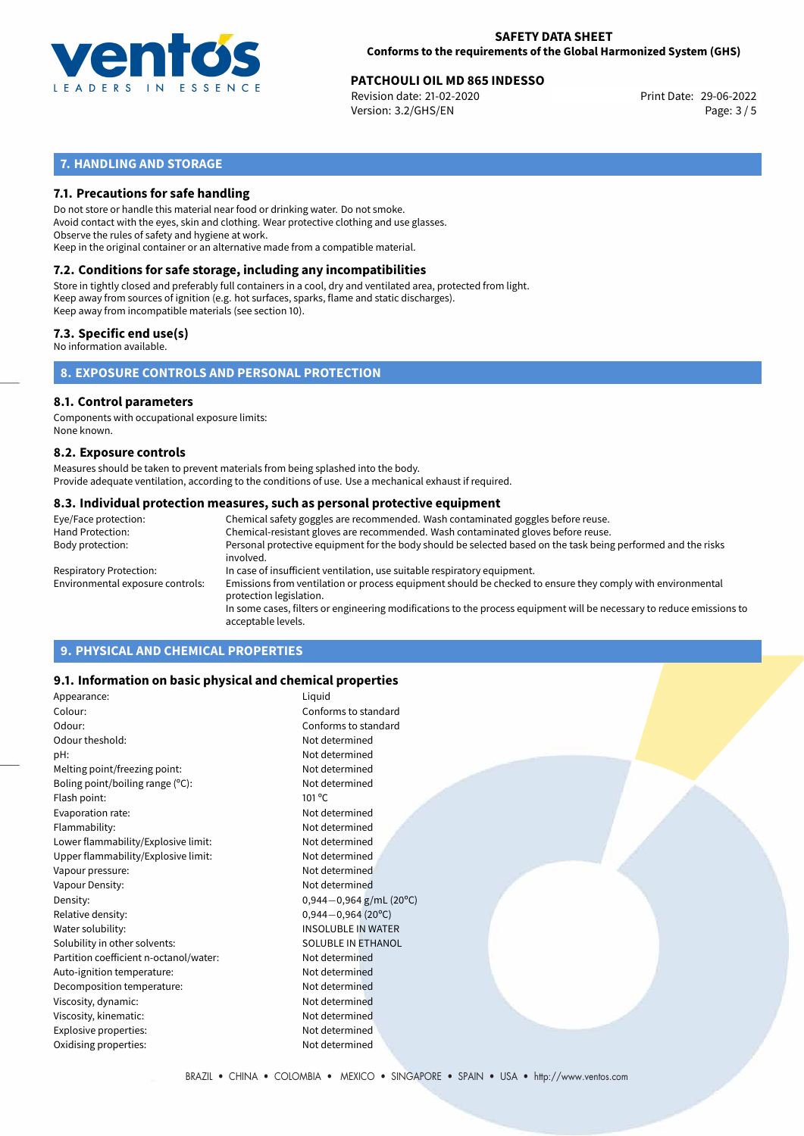

#### **SAFETY DATA SHEET Conforms to the requirements of the Global Harmonized System (GHS)**

# **PATCHOULI OIL MD 865 INDESSO**<br>
Revision date: 21-02-2020<br>
Print Date: 29-06-2022

Revision date: 21-02-2020 Version: 3.2/GHS/EN Page: 3 / 5

# **7. HANDLING AND STORAGE**

#### **7.1. Precautions for safe handling**

Do not store or handle this material near food or drinking water. Do not smoke. Avoid contact with the eyes, skin and clothing. Wear protective clothing and use glasses. Observe the rules of safety and hygiene at work. Keep in the original container or an alternative made from a compatible material.

# **7.2. Conditions for safe storage, including any incompatibilities**

Store in tightly closed and preferably full containers in a cool, dry and ventilated area, protected from light. Keep away from sources of ignition (e.g. hot surfaces, sparks, flame and static discharges). Keep away from incompatible materials (see section 10).

#### **7.3. Specific end use(s)**

No information available.

**8. EXPOSURE CONTROLS AND PERSONAL PROTECTION**

#### **8.1. Control parameters**

Components with occupational exposure limits: None known.

#### **8.2. Exposure controls**

Measures should be taken to prevent materials from being splashed into the body. Provide adequate ventilation, according to the conditions of use. Use a mechanical exhaust if required.

#### **8.3. Individual protection measures, such as personal protective equipment**

| Eye/Face protection:             | Chemical safety goggles are recommended. Wash contaminated goggles before reuse.                                                            |  |  |  |
|----------------------------------|---------------------------------------------------------------------------------------------------------------------------------------------|--|--|--|
| Hand Protection:                 | Chemical-resistant gloves are recommended. Wash contaminated gloves before reuse.                                                           |  |  |  |
| Body protection:                 | Personal protective equipment for the body should be selected based on the task being performed and the risks<br>involved.                  |  |  |  |
| Respiratory Protection:          | In case of insufficient ventilation, use suitable respiratory equipment.                                                                    |  |  |  |
| Environmental exposure controls: | Emissions from ventilation or process equipment should be checked to ensure they comply with environmental<br>protection legislation.       |  |  |  |
|                                  | In some cases, filters or engineering modifications to the process equipment will be necessary to reduce emissions to<br>acceptable levels. |  |  |  |
|                                  |                                                                                                                                             |  |  |  |

# **9. PHYSICAL AND CHEMICAL PROPERTIES**

#### **9.1. Information on basic physical and chemical properties**

| Appearance:                            | Liquid                      |
|----------------------------------------|-----------------------------|
| Colour:                                | Conforms to standard        |
| Odour:                                 | Conforms to standard        |
| Odour theshold:                        | Not determined              |
| pH:                                    | Not determined              |
| Melting point/freezing point:          | Not determined              |
| Boling point/boiling range (°C):       | Not determined              |
| Flash point:                           | $101^{\circ}$ C             |
| Evaporation rate:                      | Not determined              |
| Flammability:                          | Not determined              |
| Lower flammability/Explosive limit:    | Not determined              |
| Upper flammability/Explosive limit:    | Not determined              |
| Vapour pressure:                       | Not determined              |
| Vapour Density:                        | Not determined              |
| Density:                               | $0,944 - 0,964$ g/mL (20°C) |
| Relative density:                      | $0,944 - 0,964$ (20°C)      |
| Water solubility:                      | <b>INSOLUBLE IN WATER</b>   |
| Solubility in other solvents:          | <b>SOLUBLE IN ETHANOL</b>   |
| Partition coefficient n-octanol/water: | Not determined              |
| Auto-ignition temperature:             | Not determined              |
| Decomposition temperature:             | Not determined              |
| Viscosity, dynamic:                    | Not determined              |
| Viscosity, kinematic:                  | Not determined              |
| Explosive properties:                  | Not determined              |
| Oxidising properties:                  | Not determined              |
|                                        |                             |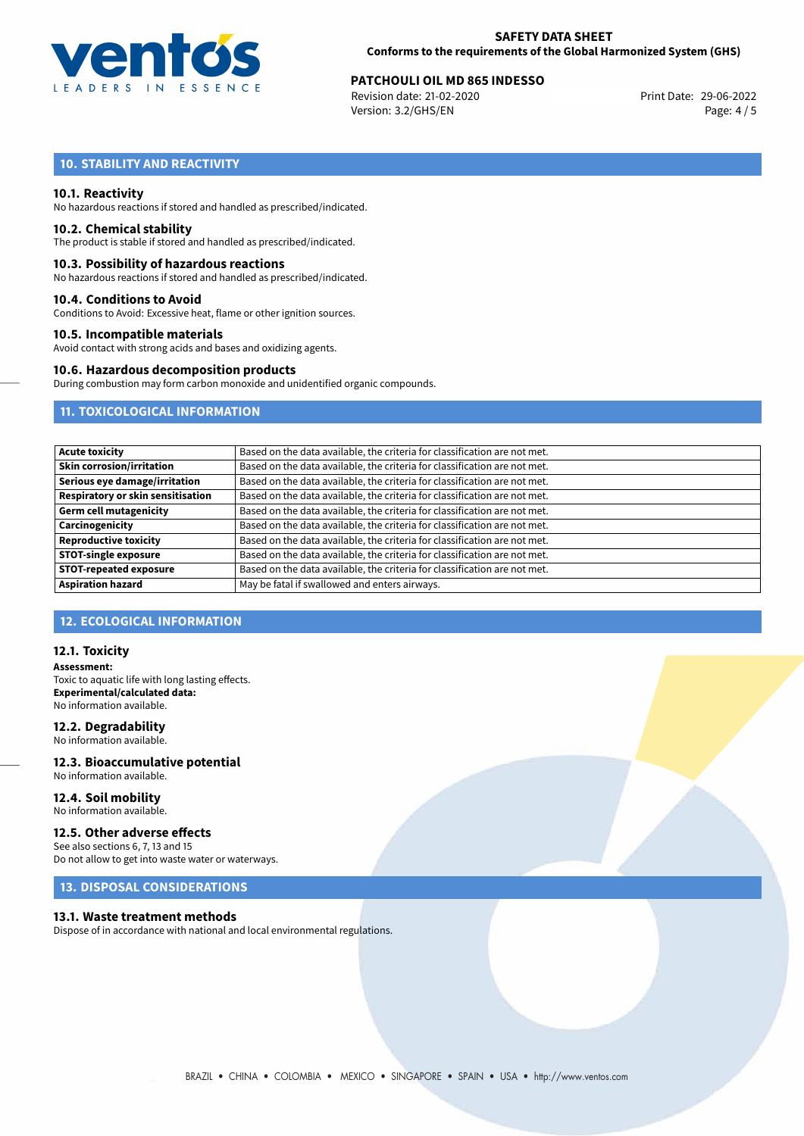

#### **SAFETY DATA SHEET Conforms to the requirements of the Global Harmonized System (GHS)**

# **PATCHOULI OIL MD 865 INDESSO**<br>
Revision date: 21-02-2020<br>
Print Date: 29-06-2022

Revision date: 21-02-2020 Version: 3.2/GHS/EN Page: 4 / 5

# **10. STABILITY AND REACTIVITY**

#### **10.1. Reactivity**

No hazardous reactions if stored and handled as prescribed/indicated.

#### **10.2. Chemical stability**

The product is stable if stored and handled as prescribed/indicated.

#### **10.3. Possibility of hazardous reactions**

No hazardous reactions if stored and handled as prescribed/indicated.

#### **10.4. Conditions to Avoid**

Conditions to Avoid: Excessive heat, flame or other ignition sources.

#### **10.5. Incompatible materials**

Avoid contact with strong acids and bases and oxidizing agents.

#### **10.6. Hazardous decomposition products**

During combustion may form carbon monoxide and unidentified organic compounds.

### **11. TOXICOLOGICAL INFORMATION**

| <b>Acute toxicity</b>             | Based on the data available, the criteria for classification are not met. |
|-----------------------------------|---------------------------------------------------------------------------|
| <b>Skin corrosion/irritation</b>  | Based on the data available, the criteria for classification are not met. |
| Serious eye damage/irritation     | Based on the data available, the criteria for classification are not met. |
| Respiratory or skin sensitisation | Based on the data available, the criteria for classification are not met. |
| <b>Germ cell mutagenicity</b>     | Based on the data available, the criteria for classification are not met. |
| Carcinogenicity                   | Based on the data available, the criteria for classification are not met. |
| <b>Reproductive toxicity</b>      | Based on the data available, the criteria for classification are not met. |
| <b>STOT-single exposure</b>       | Based on the data available, the criteria for classification are not met. |
| <b>STOT-repeated exposure</b>     | Based on the data available, the criteria for classification are not met. |
| <b>Aspiration hazard</b>          | May be fatal if swallowed and enters airways.                             |

#### **12. ECOLOGICAL INFORMATION**

#### **12.1. Toxicity**

**Assessment:** Toxic to aquatic life with long lasting effects. **Experimental/calculated data:** No information available.

#### **12.2. Degradability**

No information available.

#### **12.3. Bioaccumulative potential** No information available.

**12.4. Soil mobility** No information available.

#### **12.5. Other adverse effects**

See also sections 6, 7, 13 and 15 Do not allow to get into waste water or waterways.

### **13. DISPOSAL CONSIDERATIONS**

#### **13.1. Waste treatment methods**

Dispose of in accordance with national and local environmental regulations.